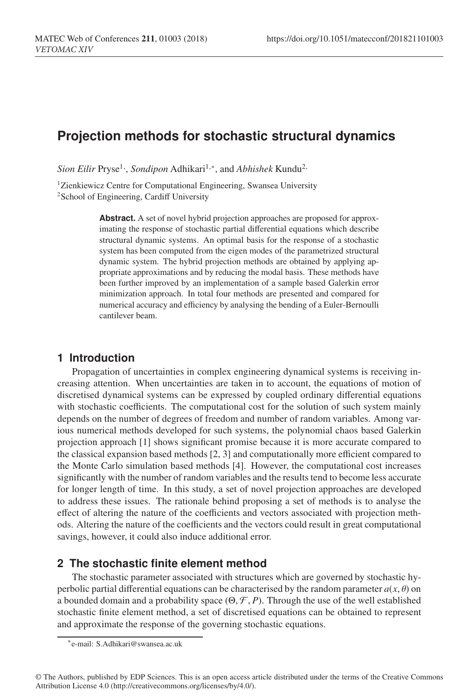# **Projection methods for stochastic structural dynamics**

*Sion Eilir* Pryse<sup>1,</sup>, *Sondipon* Adhikari<sup>1,∗</sup>, and *Abhishek* Kundu<sup>2,</sup>

<sup>1</sup>Zienkiewicz Centre for Computational Engineering, Swansea University <sup>2</sup>School of Engineering, Cardiff University

> **Abstract.** A set of novel hybrid projection approaches are proposed for approximating the response of stochastic partial differential equations which describe structural dynamic systems. An optimal basis for the response of a stochastic system has been computed from the eigen modes of the parametrized structural dynamic system. The hybrid projection methods are obtained by applying appropriate approximations and by reducing the modal basis. These methods have been further improved by an implementation of a sample based Galerkin error minimization approach. In total four methods are presented and compared for numerical accuracy and efficiency by analysing the bending of a Euler-Bernoulli cantilever beam.

# **1 Introduction**

Propagation of uncertainties in complex engineering dynamical systems is receiving increasing attention. When uncertainties are taken in to account, the equations of motion of discretised dynamical systems can be expressed by coupled ordinary differential equations with stochastic coefficients. The computational cost for the solution of such system mainly depends on the number of degrees of freedom and number of random variables. Among various numerical methods developed for such systems, the polynomial chaos based Galerkin projection approach [1] shows significant promise because it is more accurate compared to the classical expansion based methods [2, 3] and computationally more efficient compared to the Monte Carlo simulation based methods [4]. However, the computational cost increases significantly with the number of random variables and the results tend to become less accurate for longer length of time. In this study, a set of novel projection approaches are developed to address these issues. The rationale behind proposing a set of methods is to analyse the effect of altering the nature of the coefficients and vectors associated with projection methods. Altering the nature of the coefficients and the vectors could result in great computational savings, however, it could also induce additional error.

# **2 The stochastic finite element method**

The stochastic parameter associated with structures which are governed by stochastic hyperbolic partial differential equations can be characterised by the random parameter  $a(x, \theta)$  on a bounded domain and a probability space  $(\Theta, \mathcal{F}, P)$ . Through the use of the well established stochastic finite element method, a set of discretised equations can be obtained to represent and approximate the response of the governing stochastic equations.

© The Authors, published by EDP Sciences. This is an open access article distributed under the terms of the Creative Commons Attribution License 4.0 (http://creativecommons.org/licenses/by/4.0/).

<sup>∗</sup>e-mail: S.Adhikari@swansea.ac.uk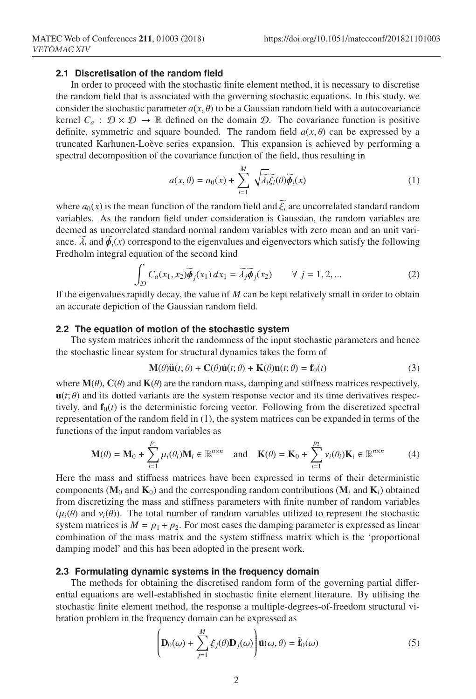# **2.1 Discretisation of the random field**

In order to proceed with the stochastic finite element method, it is necessary to discretise the random field that is associated with the governing stochastic equations. In this study, we consider the stochastic parameter  $a(x, \theta)$  to be a Gaussian random field with a autocovariance kernel  $C_a$ :  $\mathcal{D} \times \mathcal{D} \to \mathbb{R}$  defined on the domain  $\mathcal{D}$ . The covariance function is positive definite, symmetric and square bounded. The random field  $a(x, \theta)$  can be expressed by a truncated Karhunen-Loève series expansion. This expansion is achieved by performing a spectral decomposition of the covariance function of the field, thus resulting in

$$
a(x, \theta) = a_0(x) + \sum_{i=1}^{M} \sqrt{\lambda_i} \widetilde{\xi_i}(\theta) \widetilde{\phi_i}(x)
$$
 (1)

where  $a_0(x)$  is the mean function of the random field and  $\tilde{\xi}_i$  are uncorrelated standard random variables. As the random field under consideration is Gaussian, the random variables are deemed as uncorrelated standard normal random variables with zero mean and an unit variance.  $\lambda_i$  and  $\phi_i(x)$  correspond to the eigenvalues and eigenvectors which satisfy the following Fredholm integral equation of the second kind

$$
\int_{\mathcal{D}} C_a(x_1, x_2) \widetilde{\phi}_j(x_1) dx_1 = \widetilde{\lambda}_j \widetilde{\phi}_j(x_2) \qquad \forall \ j = 1, 2, ... \tag{2}
$$

If the eigenvalues rapidly decay, the value of *M* can be kept relatively small in order to obtain an accurate depiction of the Gaussian random field.

#### **2.2 The equation of motion of the stochastic system**

The system matrices inherit the randomness of the input stochastic parameters and hence the stochastic linear system for structural dynamics takes the form of

$$
\mathbf{M}(\theta)\ddot{\mathbf{u}}(t;\theta) + \mathbf{C}(\theta)\dot{\mathbf{u}}(t;\theta) + \mathbf{K}(\theta)\mathbf{u}(t;\theta) = \mathbf{f}_0(t)
$$
\n(3)

where  $\mathbf{M}(\theta)$ ,  $\mathbf{C}(\theta)$  and  $\mathbf{K}(\theta)$  are the random mass, damping and stiffness matrices respectively,  $\mathbf{u}(t; \theta)$  and its dotted variants are the system response vector and its time derivatives respectively, and  $f_0(t)$  is the deterministic forcing vector. Following from the discretized spectral representation of the random field in (1), the system matrices can be expanded in terms of the functions of the input random variables as

$$
\mathbf{M}(\theta) = \mathbf{M}_0 + \sum_{i=1}^{p_1} \mu_i(\theta_i) \mathbf{M}_i \in \mathbb{R}^{n \times n} \text{ and } \mathbf{K}(\theta) = \mathbf{K}_0 + \sum_{i=1}^{p_2} \nu_i(\theta_i) \mathbf{K}_i \in \mathbb{R}^{n \times n}
$$
 (4)

Here the mass and stiffness matrices have been expressed in terms of their deterministic components ( $M_0$  and  $K_0$ ) and the corresponding random contributions ( $M_i$  and  $K_i$ ) obtained from discretizing the mass and stiffness parameters with finite number of random variables  $(\mu_i(\theta)$  and  $\nu_i(\theta)$ . The total number of random variables utilized to represent the stochastic system matrices is  $M = p_1 + p_2$ . For most cases the damping parameter is expressed as linear combination of the mass matrix and the system stiffness matrix which is the 'proportional damping model' and this has been adopted in the present work.

#### **2.3 Formulating dynamic systems in the frequency domain**

The methods for obtaining the discretised random form of the governing partial differential equations are well-established in stochastic finite element literature. By utilising the stochastic finite element method, the response a multiple-degrees-of-freedom structural vibration problem in the frequency domain can be expressed as

$$
\left(\mathbf{D}_0(\omega) + \sum_{j=1}^M \xi_j(\theta) \mathbf{D}_j(\omega)\right) \tilde{\mathbf{u}}(\omega, \theta) = \tilde{\mathbf{f}}_0(\omega)
$$
\n(5)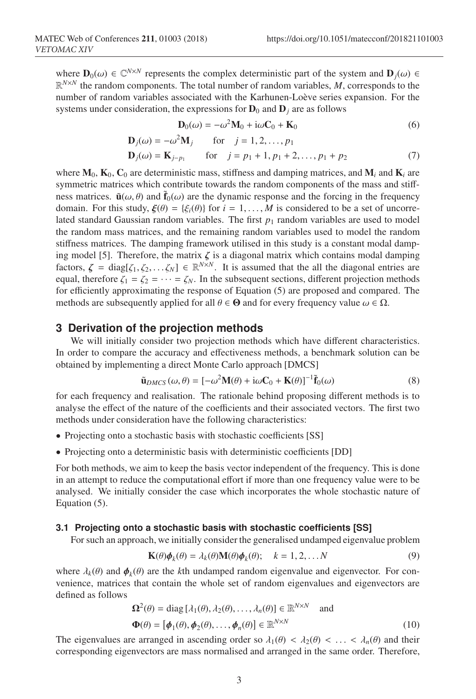where  $\mathbf{D}_0(\omega) \in \mathbb{C}^{N \times N}$  represents the complex deterministic part of the system and  $\mathbf{D}_j(\omega) \in$  $\mathbb{R}^{N\times N}$  the random components. The total number of random variables, M, corresponds to the number of random variables associated with the Karhunen-Loève series expansion. For the systems under consideration, the expressions for  $D_0$  and  $D_j$  are as follows

$$
\mathbf{D}_0(\omega) = -\omega^2 \mathbf{M}_0 + i\omega \mathbf{C}_0 + \mathbf{K}_0 \tag{6}
$$

$$
\mathbf{D}_j(\omega) = -\omega^2 \mathbf{M}_j \quad \text{for} \quad j = 1, 2, \dots, p_1
$$

$$
\mathbf{D}_{j}(\omega) = \mathbf{K}_{j-p_{1}} \quad \text{for} \quad j = p_{1} + 1, p_{1} + 2, \dots, p_{1} + p_{2} \tag{7}
$$

where  $M_0$ ,  $K_0$ ,  $C_0$  are deterministic mass, stiffness and damping matrices, and  $M_i$  and  $K_i$  are symmetric matrices which contribute towards the random components of the mass and stiffness matrices.  $\tilde{\mathbf{u}}(\omega, \theta)$  and  $\tilde{\mathbf{f}}_0(\omega)$  are the dynamic response and the forcing in the frequency domain. For this study,  $\xi(\theta) = {\xi_i(\theta)}$  for  $i = 1, ..., M$  is considered to be a set of uncorrelated standard Gaussian random variables. The first  $p_1$  random variables are used to model the random mass matrices, and the remaining random variables used to model the random stiffness matrices. The damping framework utilised in this study is a constant modal damping model [5]. Therefore, the matrix  $\zeta$  is a diagonal matrix which contains modal damping factors,  $\zeta = \text{diag}[\zeta_1, \zeta_2, \dots, \zeta_N] \in \mathbb{R}^{N \times N}$ . It is assumed that the all the diagonal entries are equal, therefore  $\zeta_1 = \zeta_2 = \cdots = \zeta_N$ . In the subsequent sections, different projection methods for efficiently approximating the response of Equation (5) are proposed and compared. The methods are subsequently applied for all  $\theta \in \Theta$  and for every frequency value  $\omega \in \Omega$ .

# **3 Derivation of the projection methods**

We will initially consider two projection methods which have different characteristics. In order to compare the accuracy and effectiveness methods, a benchmark solution can be obtained by implementing a direct Monte Carlo approach [DMCS]

$$
\tilde{\mathbf{u}}_{DMCS}(\omega,\theta) = [-\omega^2 \mathbf{M}(\theta) + i\omega \mathbf{C}_0 + \mathbf{K}(\theta)]^{-1} \tilde{\mathbf{f}}_0(\omega)
$$
\n(8)

for each frequency and realisation. The rationale behind proposing different methods is to analyse the effect of the nature of the coefficients and their associated vectors. The first two methods under consideration have the following characteristics:

- Projecting onto a stochastic basis with stochastic coefficients [SS]
- Projecting onto a deterministic basis with deterministic coefficients [DD]

For both methods, we aim to keep the basis vector independent of the frequency. This is done in an attempt to reduce the computational effort if more than one frequency value were to be analysed. We initially consider the case which incorporates the whole stochastic nature of Equation (5).

#### **3.1 Projecting onto a stochastic basis with stochastic coefficients [SS]**

For such an approach, we initially consider the generalised undamped eigenvalue problem

$$
\mathbf{K}(\theta)\boldsymbol{\phi}_k(\theta) = \lambda_k(\theta)\mathbf{M}(\theta)\boldsymbol{\phi}_k(\theta); \quad k = 1, 2, \dots N
$$
\n(9)

where  $\lambda_k(\theta)$  and  $\phi_k(\theta)$  are the *k*th undamped random eigenvalue and eigenvector. For convenience, matrices that contain the whole set of random eigenvalues and eigenvectors are defined as follows

$$
\Omega^{2}(\theta) = \text{diag} [\lambda_{1}(\theta), \lambda_{2}(\theta), \dots, \lambda_{n}(\theta)] \in \mathbb{R}^{N \times N} \text{ and}
$$
  

$$
\Phi(\theta) = [\phi_{1}(\theta), \phi_{2}(\theta), \dots, \phi_{n}(\theta)] \in \mathbb{R}^{N \times N}
$$
 (10)

The eigenvalues are arranged in ascending order so  $\lambda_1(\theta) < \lambda_2(\theta) < \ldots < \lambda_n(\theta)$  and their corresponding eigenvectors are mass normalised and arranged in the same order. Therefore,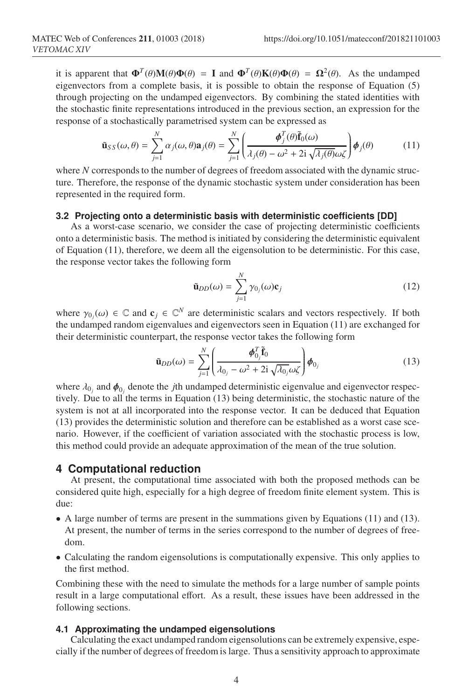it is apparent that  $\mathbf{\Phi}^T(\theta)\mathbf{M}(\theta)\mathbf{\Phi}(\theta) = \mathbf{I}$  and  $\mathbf{\Phi}^T(\theta)\mathbf{K}(\theta)\mathbf{\Phi}(\theta) = \mathbf{\Omega}^2(\theta)$ . As the undamped eigenvectors from a complete basis, it is possible to obtain the response of Equation (5) through projecting on the undamped eigenvectors. By combining the stated identities with the stochastic finite representations introduced in the previous section, an expression for the response of a stochastically parametrised system can be expressed as

$$
\tilde{\mathbf{u}}_{SS}(\omega,\theta) = \sum_{j=1}^{N} \alpha_j(\omega,\theta) \mathbf{a}_j(\theta) = \sum_{j=1}^{N} \left( \frac{\boldsymbol{\phi}_j^T(\theta) \tilde{\mathbf{f}}_0(\omega)}{\lambda_j(\theta) - \omega^2 + 2i \sqrt{\lambda_j(\theta)} \omega \zeta} \right) \boldsymbol{\phi}_j(\theta)
$$
(11)

where *N* corresponds to the number of degrees of freedom associated with the dynamic structure. Therefore, the response of the dynamic stochastic system under consideration has been represented in the required form.

### **3.2 Projecting onto a deterministic basis with deterministic coefficients [DD]**

As a worst-case scenario, we consider the case of projecting deterministic coefficients onto a deterministic basis. The method is initiated by considering the deterministic equivalent of Equation (11), therefore, we deem all the eigensolution to be deterministic. For this case, the response vector takes the following form

$$
\tilde{\mathbf{u}}_{DD}(\omega) = \sum_{j=1}^{N} \gamma_{0j}(\omega) \mathbf{c}_j \tag{12}
$$

where  $\gamma_{0j}(\omega) \in \mathbb{C}$  and  $\mathbf{c}_j \in \mathbb{C}^N$  are deterministic scalars and vectors respectively. If both the undamped random eigenvalues and eigenvectors seen in Equation (11) are exchanged for their deterministic counterpart, the response vector takes the following form

$$
\tilde{\mathbf{u}}_{DD}(\omega) = \sum_{j=1}^{N} \left( \frac{\boldsymbol{\phi}_{0j}^T \tilde{\mathbf{f}}_0}{\lambda_{0j} - \omega^2 + 2i \sqrt{\lambda_{0j}} \omega \zeta} \right) \boldsymbol{\phi}_{0j}
$$
(13)

where  $\lambda_0$  and  $\phi_0$  denote the *j*th undamped deterministic eigenvalue and eigenvector respectively. Due to all the terms in Equation (13) being deterministic, the stochastic nature of the system is not at all incorporated into the response vector. It can be deduced that Equation (13) provides the deterministic solution and therefore can be established as a worst case scenario. However, if the coefficient of variation associated with the stochastic process is low, this method could provide an adequate approximation of the mean of the true solution.

#### **4 Computational reduction**

At present, the computational time associated with both the proposed methods can be considered quite high, especially for a high degree of freedom finite element system. This is due:

- A large number of terms are present in the summations given by Equations (11) and (13). At present, the number of terms in the series correspond to the number of degrees of freedom.
- Calculating the random eigensolutions is computationally expensive. This only applies to the first method.

Combining these with the need to simulate the methods for a large number of sample points result in a large computational effort. As a result, these issues have been addressed in the following sections.

### **4.1 Approximating the undamped eigensolutions**

Calculating the exact undamped random eigensolutions can be extremely expensive, especially if the number of degrees of freedom is large. Thus a sensitivity approach to approximate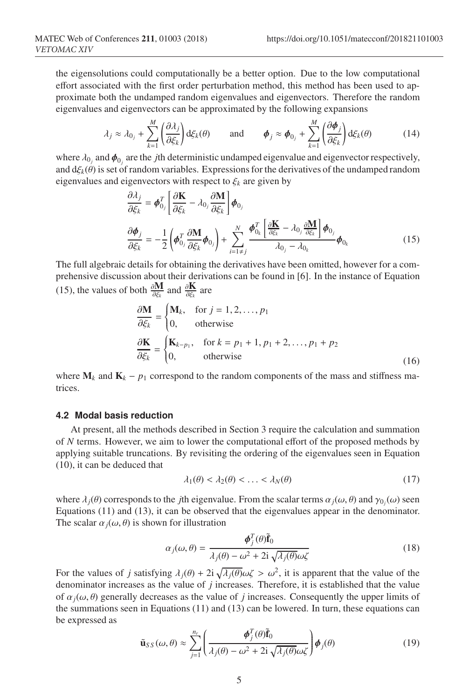the eigensolutions could computationally be a better option. Due to the low computational effort associated with the first order perturbation method, this method has been used to approximate both the undamped random eigenvalues and eigenvectors. Therefore the random eigenvalues and eigenvectors can be approximated by the following expansions

$$
\lambda_j \approx \lambda_{0_j} + \sum_{k=1}^M \left( \frac{\partial \lambda_j}{\partial \xi_k} \right) d\xi_k(\theta) \quad \text{and} \quad \boldsymbol{\phi}_j \approx \boldsymbol{\phi}_{0_j} + \sum_{k=1}^M \left( \frac{\partial \boldsymbol{\phi}_j}{\partial \xi_k} \right) d\xi_k(\theta) \quad (14)
$$

where  $\lambda_{0j}$  and  $\phi_{0j}$  are the *j*th deterministic undamped eigenvalue and eigenvector respectively, and  $d\xi_k(\theta)$  is set of random variables. Expressions for the derivatives of the undamped random eigenvalues and eigenvectors with respect to  $\xi_k$  are given by

$$
\frac{\partial \lambda_j}{\partial \xi_k} = \boldsymbol{\phi}_{0_j}^T \left[ \frac{\partial \mathbf{K}}{\partial \xi_k} - \lambda_{0_j} \frac{\partial \mathbf{M}}{\partial \xi_k} \right] \boldsymbol{\phi}_{0_j}
$$
\n
$$
\frac{\partial \boldsymbol{\phi}_j}{\partial \xi_k} = -\frac{1}{2} \left( \boldsymbol{\phi}_{0_j}^T \frac{\partial \mathbf{M}}{\partial \xi_k} \boldsymbol{\phi}_{0_j} \right) + \sum_{i=1 \neq j}^N \frac{\boldsymbol{\phi}_{0_k}^T \left[ \frac{\partial \mathbf{K}}{\partial \xi_k} - \lambda_{0_j} \frac{\partial \mathbf{M}}{\partial \xi_k} \right] \boldsymbol{\phi}_{0_j}}{\lambda_{0_j} - \lambda_{0_k}} \boldsymbol{\phi}_{0_k}
$$
\n(15)

The full algebraic details for obtaining the derivatives have been omitted, however for a comprehensive discussion about their derivations can be found in [6]. In the instance of Equation (15), the values of both  $\frac{\partial \mathbf{M}}{\partial \xi_k}$  and  $\frac{\partial \mathbf{K}}{\partial \xi_k}$  are

$$
\frac{\partial \mathbf{M}}{\partial \xi_k} = \begin{cases} \mathbf{M}_k, & \text{for } j = 1, 2, ..., p_1 \\ 0, & \text{otherwise} \end{cases}
$$
  
\n
$$
\frac{\partial \mathbf{K}}{\partial \xi_k} = \begin{cases} \mathbf{K}_{k-p_1}, & \text{for } k = p_1 + 1, p_1 + 2, ..., p_1 + p_2 \\ 0, & \text{otherwise} \end{cases}
$$
 (16)

where  $M_k$  and  $K_k - p_1$  correspond to the random components of the mass and stiffness matrices.

### **4.2 Modal basis reduction**

At present, all the methods described in Section 3 require the calculation and summation of *N* terms. However, we aim to lower the computational effort of the proposed methods by applying suitable truncations. By revisiting the ordering of the eigenvalues seen in Equation (10), it can be deduced that

$$
\lambda_1(\theta) < \lambda_2(\theta) < \ldots < \lambda_N(\theta) \tag{17}
$$

where  $\lambda_j(\theta)$  corresponds to the *j*th eigenvalue. From the scalar terms  $\alpha_j(\omega, \theta)$  and  $\gamma_{0_j}(\omega)$  seen Equations (11) and (13), it can be observed that the eigenvalues appear in the denominator. The scalar  $\alpha_i(\omega, \theta)$  is shown for illustration

$$
\alpha_j(\omega,\theta) = \frac{\phi_j^T(\theta)\tilde{\mathbf{f}}_0}{\lambda_j(\theta) - \omega^2 + 2i\sqrt{\lambda_j(\theta)}\omega\zeta}
$$
(18)

For the values of *j* satisfying  $\lambda_j(\theta) + 2i \sqrt{\lambda_j(\theta)} \omega \zeta > \omega^2$ , it is apparent that the value of the denominator increases as the value of *j* increases. Therefore, it is established that the value of  $\alpha_j(\omega, \theta)$  generally decreases as the value of *j* increases. Consequently the upper limits of the summations seen in Equations (11) and (13) can be lowered. In turn, these equations can be expressed as

$$
\tilde{\mathbf{u}}_{SS}(\omega,\theta) \approx \sum_{j=1}^{n_r} \left( \frac{\boldsymbol{\phi}_j^T(\theta)\tilde{\mathbf{f}}_0}{\lambda_j(\theta) - \omega^2 + 2i\sqrt{\lambda_j(\theta)}\omega\zeta} \right) \boldsymbol{\phi}_j(\theta) \tag{19}
$$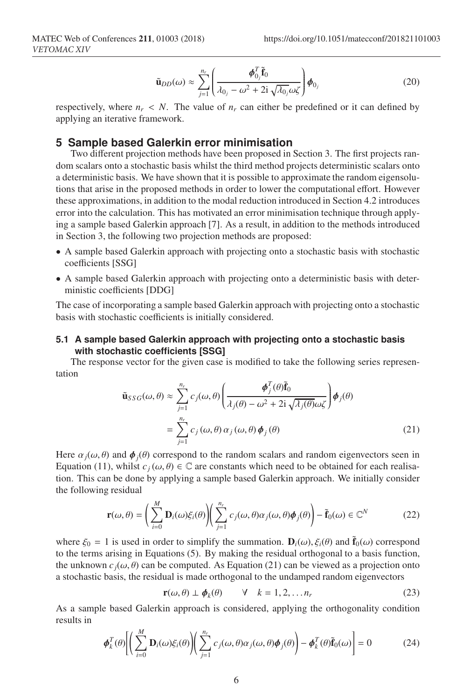$$
\tilde{\mathbf{u}}_{DD}(\omega) \approx \sum_{j=1}^{n_r} \left( \frac{\boldsymbol{\phi}_{0j}^T \tilde{\mathbf{f}}_0}{\lambda_{0j} - \omega^2 + 2\mathrm{i} \sqrt{\lambda_{0j}} \omega \zeta} \right) \boldsymbol{\phi}_{0j} \tag{20}
$$

respectively, where  $n_r < N$ . The value of  $n_r$  can either be predefined or it can defined by applying an iterative framework.

# **5 Sample based Galerkin error minimisation**

Two different projection methods have been proposed in Section 3. The first projects random scalars onto a stochastic basis whilst the third method projects deterministic scalars onto a deterministic basis. We have shown that it is possible to approximate the random eigensolutions that arise in the proposed methods in order to lower the computational effort. However these approximations, in addition to the modal reduction introduced in Section 4.2 introduces error into the calculation. This has motivated an error minimisation technique through applying a sample based Galerkin approach [7]. As a result, in addition to the methods introduced in Section 3, the following two projection methods are proposed:

- A sample based Galerkin approach with projecting onto a stochastic basis with stochastic coefficients [SSG]
- A sample based Galerkin approach with projecting onto a deterministic basis with deterministic coefficients [DDG]

The case of incorporating a sample based Galerkin approach with projecting onto a stochastic basis with stochastic coefficients is initially considered.

# **5.1 A sample based Galerkin approach with projecting onto a stochastic basis with stochastic coefficients [SSG]**

The response vector for the given case is modified to take the following series representation

$$
\tilde{\mathbf{u}}_{SSG}(\omega,\theta) \approx \sum_{j=1}^{n_r} c_j(\omega,\theta) \left( \frac{\boldsymbol{\phi}_j^T(\theta)\tilde{\mathbf{f}}_0}{\lambda_j(\theta) - \omega^2 + 2i \sqrt{\lambda_j(\theta)} \omega \zeta} \right) \boldsymbol{\phi}_j(\theta)
$$
\n
$$
= \sum_{j=1}^{n_r} c_j(\omega,\theta) \alpha_j(\omega,\theta) \boldsymbol{\phi}_j(\theta) \tag{21}
$$

Here  $\alpha_j(\omega, \theta)$  and  $\phi_j(\theta)$  correspond to the random scalars and random eigenvectors seen in Equation (11), whilst  $c_j(\omega, \theta) \in \mathbb{C}$  are constants which need to be obtained for each realisation. This can be done by applying a sample based Galerkin approach. We initially consider the following residual

$$
\mathbf{r}(\omega,\theta) = \left(\sum_{i=0}^{M} \mathbf{D}_i(\omega)\xi_i(\theta)\right) \left(\sum_{j=1}^{n_r} c_j(\omega,\theta)\alpha_j(\omega,\theta)\phi_j(\theta)\right) - \tilde{\mathbf{f}}_0(\omega) \in \mathbb{C}^N \tag{22}
$$

where  $\xi_0 = 1$  is used in order to simplify the summation.  $\mathbf{D}_i(\omega)$ ,  $\xi_i(\theta)$  and  $\hat{\mathbf{f}}_0(\omega)$  correspond to the terms arising in Equations (5). By making the residual orthogonal to a basis function, the unknown  $c_j(\omega, \theta)$  can be computed. As Equation (21) can be viewed as a projection onto a stochastic basis, the residual is made orthogonal to the undamped random eigenvectors

$$
\mathbf{r}(\omega,\theta) \perp \boldsymbol{\phi}_k(\theta) \qquad \forall \quad k = 1,2,\ldots n_r \tag{23}
$$

As a sample based Galerkin approach is considered, applying the orthogonality condition results in

$$
\boldsymbol{\phi}_k^T(\theta) \Bigg[ \Bigg( \sum_{i=0}^M \mathbf{D}_i(\omega) \xi_i(\theta) \Bigg) \Bigg( \sum_{j=1}^{n_r} c_j(\omega, \theta) \alpha_j(\omega, \theta) \boldsymbol{\phi}_j(\theta) \Bigg) - \boldsymbol{\phi}_k^T(\theta) \tilde{\mathbf{f}}_0(\omega) \Bigg] = 0 \tag{24}
$$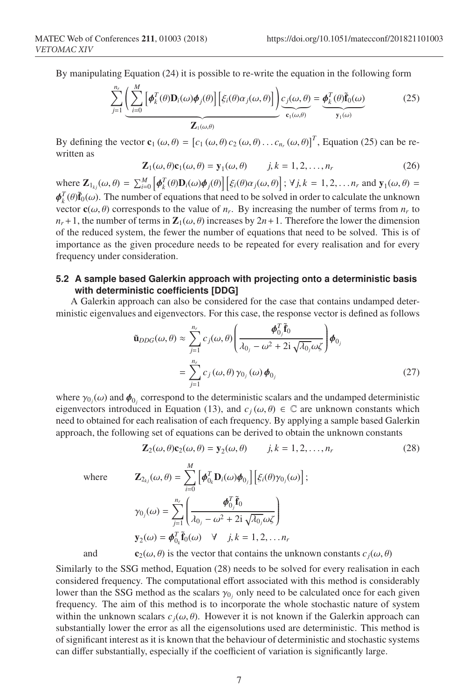By manipulating Equation (24) it is possible to re-write the equation in the following form

$$
\sum_{j=1}^{n_r} \underbrace{\left(\sum_{i=0}^{M} \left[\boldsymbol{\phi}_k^T(\theta) \mathbf{D}_i(\omega) \boldsymbol{\phi}_j(\theta)\right] \left[\xi_i(\theta) \alpha_j(\omega, \theta)\right] \right) c_j(\omega, \theta)}_{\mathbf{Z}_1(\omega, \theta)} = \underbrace{\boldsymbol{\phi}_k^T(\theta) \tilde{\mathbf{f}}_0(\omega)}_{\mathbf{y}_1(\omega)}
$$
(25)

By defining the vector  $\mathbf{c}_1(\omega, \theta) = [c_1(\omega, \theta) c_2(\omega, \theta) \dots c_{n_r}(\omega, \theta)]^T$ , Equation (25) can be rewritten as

$$
\mathbf{Z}_1(\omega,\theta)\mathbf{c}_1(\omega,\theta) = \mathbf{y}_1(\omega,\theta) \qquad j,k = 1,2,\ldots,n_r \tag{26}
$$

where  $\mathbf{Z}_{1_{kj}}(\omega,\theta) = \sum_{i=0}^{M} \left[ \boldsymbol{\phi}_k^T(\theta) \mathbf{D}_i(\omega) \boldsymbol{\phi}_j(\theta) \right] \left[ \xi_i(\theta) \alpha_j(\omega,\theta) \right]$ ;  $\forall j, k = 1, 2, \dots, n_r$  and  $\mathbf{y}_1(\omega,\theta) =$  $\phi_k^T(\theta)\tilde{f}_0(\omega)$ . The number of equations that need to be solved in order to calculate the unknown vector  $\mathbf{c}(\omega, \theta)$  corresponds to the value of *n<sub>r</sub>*. By increasing the number of terms from *n<sub>r</sub>* to  $n_r + 1$ , the number of terms in  $\mathbb{Z}_1(\omega, \theta)$  increases by  $2n + 1$ . Therefore the lower the dimension of the reduced system, the fewer the number of equations that need to be solved. This is of importance as the given procedure needs to be repeated for every realisation and for every frequency under consideration.

# **5.2 A sample based Galerkin approach with projecting onto a deterministic basis with deterministic coefficients [DDG]**

A Galerkin approach can also be considered for the case that contains undamped deterministic eigenvalues and eigenvectors. For this case, the response vector is defined as follows

$$
\tilde{\mathbf{u}}_{DDG}(\omega,\theta) \approx \sum_{j=1}^{n_r} c_j(\omega,\theta) \left( \frac{\boldsymbol{\phi}_{0_j}^T \tilde{\mathbf{f}}_0}{\lambda_{0_j} - \omega^2 + 2i \sqrt{\lambda_{0_j}} \omega \zeta} \right) \boldsymbol{\phi}_{0_j}
$$
\n
$$
= \sum_{j=1}^{n_r} c_j(\omega,\theta) \gamma_{0_j}(\omega) \boldsymbol{\phi}_{0_j} \tag{27}
$$

where  $\gamma_{0j}(\omega)$  and  $\pmb{\phi}_{0j}$  correspond to the deterministic scalars and the undamped deterministic eigenvectors introduced in Equation (13), and  $c_j(\omega, \theta) \in \mathbb{C}$  are unknown constants which need to obtained for each realisation of each frequency. By applying a sample based Galerkin approach, the following set of equations can be derived to obtain the unknown constants

*M*

$$
\mathbf{Z}_2(\omega,\theta)\mathbf{c}_2(\omega,\theta) = \mathbf{y}_2(\omega,\theta) \qquad j,k = 1,2,\ldots,n_r \tag{28}
$$

 $w$ here

where 
$$
\mathbf{Z}_{2_{kj}}(\omega,\theta) = \sum_{i=0}^{M} \left[ \boldsymbol{\phi}_{0_k}^T \mathbf{D}_i(\omega) \boldsymbol{\phi}_{0_j} \right] \left[ \xi_i(\theta) \gamma_{0_j}(\omega) \right];
$$

$$
\gamma_{0_j}(\omega) = \sum_{j=1}^{n_r} \left( \frac{\boldsymbol{\phi}_{0_j}^T \tilde{\mathbf{f}}_0}{\lambda_{0_j} - \omega^2 + 2\mathbf{i} \sqrt{\lambda_{0_j} \omega \zeta}} \right)
$$

$$
\mathbf{y}_2(\omega) = \boldsymbol{\phi}_{0_k}^T \tilde{\mathbf{f}}_0(\omega) \quad \forall \quad j, k = 1, 2, \dots n_r
$$
and 
$$
\mathbf{c}_2(\omega, \theta) \text{ is the vector that contains the unknown constants } c_j(\omega, \theta)
$$

Similarly to the SSG method, Equation (28) needs to be solved for every realisation in each considered frequency. The computational effort associated with this method is considerably lower than the SSG method as the scalars  $\gamma_0$  only need to be calculated once for each given frequency. The aim of this method is to incorporate the whole stochastic nature of system within the unknown scalars  $c_j(\omega, \theta)$ . However it is not known if the Galerkin approach can substantially lower the error as all the eigensolutions used are deterministic. This method is of significant interest as it is known that the behaviour of deterministic and stochastic systems can differ substantially, especially if the coefficient of variation is significantly large.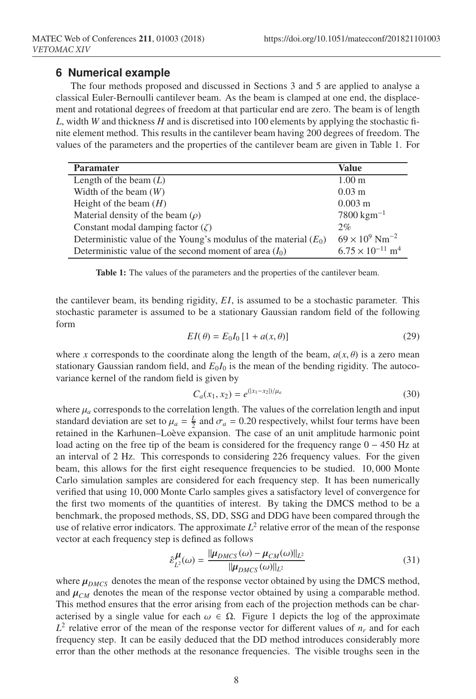# **6 Numerical example**

The four methods proposed and discussed in Sections 3 and 5 are applied to analyse a classical Euler-Bernoulli cantilever beam. As the beam is clamped at one end, the displacement and rotational degrees of freedom at that particular end are zero. The beam is of length *L*, width *W* and thickness *H* and is discretised into 100 elements by applying the stochastic finite element method. This results in the cantilever beam having 200 degrees of freedom. The values of the parameters and the properties of the cantilever beam are given in Table 1. For

| <b>Paramater</b>                                                   | <b>Value</b>                          |
|--------------------------------------------------------------------|---------------------------------------|
| Length of the beam $(L)$                                           | 1.00 <sub>m</sub>                     |
| Width of the beam $(W)$                                            | $0.03 \; \mathrm{m}$                  |
| Height of the beam $(H)$                                           | $0.003 \text{ m}$                     |
| Material density of the beam $(\rho)$                              | $7800 \,\mathrm{kg m^{-1}}$           |
| Constant modal damping factor $(\zeta)$                            | 2%                                    |
| Deterministic value of the Young's modulus of the material $(E_0)$ | $69 \times 10^9$ Nm <sup>-2</sup>     |
| Deterministic value of the second moment of area $(I_0)$           | $6.75 \times 10^{-11}$ m <sup>4</sup> |

Table 1: The values of the parameters and the properties of the cantilever beam.

the cantilever beam, its bending rigidity, *EI*, is assumed to be a stochastic parameter. This stochastic parameter is assumed to be a stationary Gaussian random field of the following form

$$
EI(\theta) = E_0 I_0 [1 + a(x, \theta)] \tag{29}
$$

where *x* corresponds to the coordinate along the length of the beam,  $a(x, \theta)$  is a zero mean stationary Gaussian random field, and  $E_0I_0$  is the mean of the bending rigidity. The autocovariance kernel of the random field is given by

$$
C_a(x_1, x_2) = e^{(|x_1 - x_2|)/\mu_a}
$$
\n(30)

where  $\mu_a$  corresponds to the correlation length. The values of the correlation length and input standard deviation are set to  $\mu_a = \frac{L}{2}$  and  $\sigma_a = 0.20$  respectively, whilst four terms have been retained in the Karhunen–Loève expansion. The case of an unit amplitude harmonic point load acting on the free tip of the beam is considered for the frequency range 0 − 450 Hz at an interval of 2 Hz. This corresponds to considering 226 frequency values. For the given beam, this allows for the first eight resequence frequencies to be studied. 10, 000 Monte Carlo simulation samples are considered for each frequency step. It has been numerically verified that using 10, 000 Monte Carlo samples gives a satisfactory level of convergence for the first two moments of the quantities of interest. By taking the DMCS method to be a benchmark, the proposed methods, SS, DD, SSG and DDG have been compared through the use of relative error indicators. The approximate  $L^2$  relative error of the mean of the response vector at each frequency step is defined as follows

$$
\hat{\varepsilon}_{L^2}^{\mu}(\omega) = \frac{\|\mu_{DMCS}(\omega) - \mu_{CM}(\omega)\|_{L^2}}{\|\mu_{DMCS}(\omega)\|_{L^2}}\tag{31}
$$

where  $\mu_{DMCS}$  denotes the mean of the response vector obtained by using the DMCS method, and  $\mu_{CM}$  denotes the mean of the response vector obtained by using a comparable method. This method ensures that the error arising from each of the projection methods can be characterised by a single value for each  $\omega \in \Omega$ . Figure 1 depicts the log of the approximate  $L^2$  relative error of the mean of the response vector for different values of  $n_r$  and for each frequency step. It can be easily deduced that the DD method introduces considerably more error than the other methods at the resonance frequencies. The visible troughs seen in the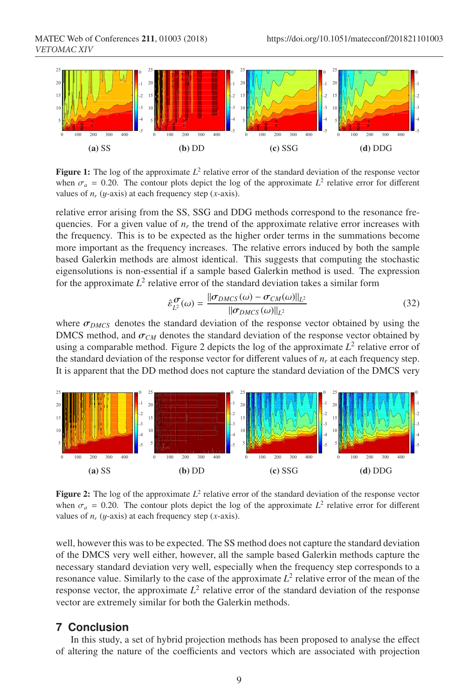

**Figure 1:** The log of the approximate  $L^2$  relative error of the standard deviation of the response vector when  $\sigma_a = 0.20$ . The contour plots depict the log of the approximate  $L^2$  relative error for different values of  $n_r$  (*y*-axis) at each frequency step (*x*-axis).

relative error arising from the SS, SSG and DDG methods correspond to the resonance frequencies. For a given value of  $n_r$  the trend of the approximate relative error increases with the frequency. This is to be expected as the higher order terms in the summations become more important as the frequency increases. The relative errors induced by both the sample based Galerkin methods are almost identical. This suggests that computing the stochastic eigensolutions is non-essential if a sample based Galerkin method is used. The expression for the approximate  $L^2$  relative error of the standard deviation takes a similar form

$$
\hat{\varepsilon}_{L^2}^{\sigma}(\omega) = \frac{\|\sigma_{DMCS}(\omega) - \sigma_{CM}(\omega)\|_{L^2}}{\|\sigma_{DMCS}(\omega)\|_{L^2}}\tag{32}
$$

where  $\sigma_{DMCS}$  denotes the standard deviation of the response vector obtained by using the DMCS method, and  $\sigma_{CM}$  denotes the standard deviation of the response vector obtained by using a comparable method. Figure 2 depicts the log of the approximate  $L^2$  relative error of the standard deviation of the response vector for different values of  $n_r$  at each frequency step. It is apparent that the DD method does not capture the standard deviation of the DMCS very



**Figure 2:** The log of the approximate  $L^2$  relative error of the standard deviation of the response vector when  $\sigma_a = 0.20$ . The contour plots depict the log of the approximate  $L^2$  relative error for different values of *nr* (y-axis) at each frequency step (*x*-axis).

well, however this was to be expected. The SS method does not capture the standard deviation of the DMCS very well either, however, all the sample based Galerkin methods capture the necessary standard deviation very well, especially when the frequency step corresponds to a resonance value. Similarly to the case of the approximate  $L^2$  relative error of the mean of the response vector, the approximate  $L^2$  relative error of the standard deviation of the response vector are extremely similar for both the Galerkin methods.

### **7 Conclusion**

In this study, a set of hybrid projection methods has been proposed to analyse the effect of altering the nature of the coefficients and vectors which are associated with projection